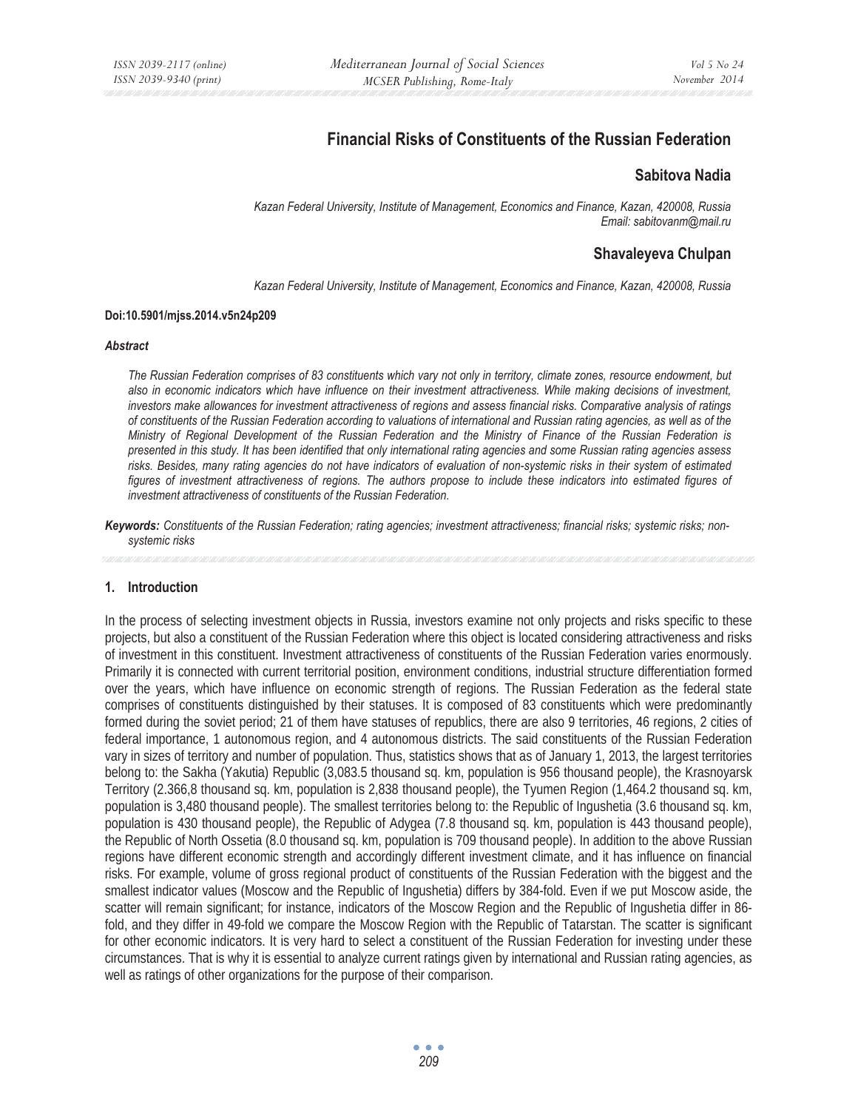# **Financial Risks of Constituents of the Russian Federation**

#### **Sabitova Nadia**

*Kazan Federal University, Institute of Management, Economics and Finance, Kazan, 420008, Russia Email: sabitovanm@mail.ru* 

### **Shavaleyeva Chulpan**

*Kazan Federal University, Institute of Management, Economics and Finance, Kazan, 420008, Russia* 

#### **Doi:10.5901/mjss.2014.v5n24p209**

#### *Abstract*

*The Russian Federation comprises of 83 constituents which vary not only in territory, climate zones, resource endowment, but also in economic indicators which have influence on their investment attractiveness. While making decisions of investment, investors make allowances for investment attractiveness of regions and assess financial risks. Comparative analysis of ratings of constituents of the Russian Federation according to valuations of international and Russian rating agencies, as well as of the Ministry of Regional Development of the Russian Federation and the Ministry of Finance of the Russian Federation is presented in this study. It has been identified that only international rating agencies and some Russian rating agencies assess risks. Besides, many rating agencies do not have indicators of evaluation of non-systemic risks in their system of estimated*  figures of investment attractiveness of regions. The authors propose to include these indicators into estimated figures of *investment attractiveness of constituents of the Russian Federation.* 

*Keywords: Constituents of the Russian Federation; rating agencies; investment attractiveness; financial risks; systemic risks; nonsystemic risks* 

#### **1. Introduction**

In the process of selecting investment objects in Russia, investors examine not only projects and risks specific to these projects, but also a constituent of the Russian Federation where this object is located considering attractiveness and risks of investment in this constituent. Investment attractiveness of constituents of the Russian Federation varies enormously. Primarily it is connected with current territorial position, environment conditions, industrial structure differentiation formed over the years, which have influence on economic strength of regions. The Russian Federation as the federal state comprises of constituents distinguished by their statuses. It is composed of 83 constituents which were predominantly formed during the soviet period; 21 of them have statuses of republics, there are also 9 territories, 46 regions, 2 cities of federal importance, 1 autonomous region, and 4 autonomous districts. The said constituents of the Russian Federation vary in sizes of territory and number of population. Thus, statistics shows that as of January 1, 2013, the largest territories belong to: the Sakha (Yakutia) Republic (3,083.5 thousand sq. km, population is 956 thousand people), the Krasnoyarsk Territory (2.366,8 thousand sq. km, population is 2,838 thousand people), the Tyumen Region (1,464.2 thousand sq. km, population is 3,480 thousand people). The smallest territories belong to: the Republic of Ingushetia (3.6 thousand sq. km, population is 430 thousand people), the Republic of Adygea (7.8 thousand sq. km, population is 443 thousand people), the Republic of North Ossetia (8.0 thousand sq. km, population is 709 thousand people). In addition to the above Russian regions have different economic strength and accordingly different investment climate, and it has influence on financial risks. For example, volume of gross regional product of constituents of the Russian Federation with the biggest and the smallest indicator values (Moscow and the Republic of Ingushetia) differs by 384-fold. Even if we put Moscow aside, the scatter will remain significant; for instance, indicators of the Moscow Region and the Republic of Ingushetia differ in 86 fold, and they differ in 49-fold we compare the Moscow Region with the Republic of Tatarstan. The scatter is significant for other economic indicators. It is very hard to select a constituent of the Russian Federation for investing under these circumstances. That is why it is essential to analyze current ratings given by international and Russian rating agencies, as well as ratings of other organizations for the purpose of their comparison.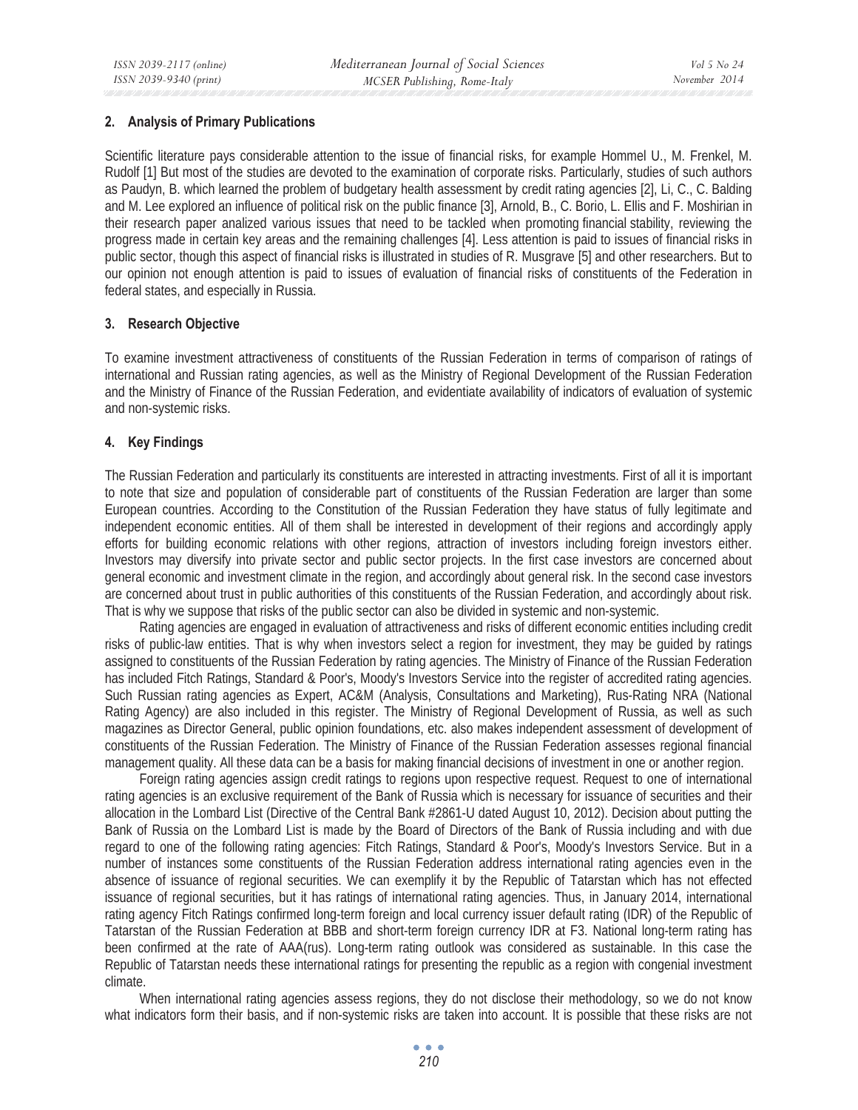# **2. Analysis of Primary Publications**

Scientific literature pays considerable attention to the issue of financial risks, for example Hommel U., M. Frenkel, M. Rudolf [1] But most of the studies are devoted to the examination of corporate risks. Particularly, studies of such authors as Paudyn, B. which learned the problem of budgetary health assessment by credit rating agencies [2], Li, C., C. Balding and M. Lee explored an influence of political risk on the public finance [3], Arnold, B., C. Borio, L. Ellis and F. Moshirian in their research paper analized various issues that need to be tackled when promoting financial stability, reviewing the progress made in certain key areas and the remaining challenges [4]. Less attention is paid to issues of financial risks in public sector, though this aspect of financial risks is illustrated in studies of R. Musgrave [5] and other researchers. But to our opinion not enough attention is paid to issues of evaluation of financial risks of constituents of the Federation in federal states, and especially in Russia.

# **3. Research Objective**

To examine investment attractiveness of constituents of the Russian Federation in terms of comparison of ratings of international and Russian rating agencies, as well as the Ministry of Regional Development of the Russian Federation and the Ministry of Finance of the Russian Federation, and evidentiate availability of indicators of evaluation of systemic and non-systemic risks.

# **4. Key Findings**

The Russian Federation and particularly its constituents are interested in attracting investments. First of all it is important to note that size and population of considerable part of constituents of the Russian Federation are larger than some European countries. According to the Constitution of the Russian Federation they have status of fully legitimate and independent economic entities. All of them shall be interested in development of their regions and accordingly apply efforts for building economic relations with other regions, attraction of investors including foreign investors either. Investors may diversify into private sector and public sector projects. In the first case investors are concerned about general economic and investment climate in the region, and accordingly about general risk. In the second case investors are concerned about trust in public authorities of this constituents of the Russian Federation, and accordingly about risk. That is why we suppose that risks of the public sector can also be divided in systemic and non-systemic.

Rating agencies are engaged in evaluation of attractiveness and risks of different economic entities including credit risks of public-law entities. That is why when investors select a region for investment, they may be guided by ratings assigned to constituents of the Russian Federation by rating agencies. The Ministry of Finance of the Russian Federation has included Fitch Ratings, Standard & Poor's, Moody's Investors Service into the register of accredited rating agencies. Such Russian rating agencies as Expert, AC&M (Analysis, Consultations and Marketing), Rus-Rating NRA (National Rating Agency) are also included in this register. The Ministry of Regional Development of Russia, as well as such magazines as Director General, public opinion foundations, etc. also makes independent assessment of development of constituents of the Russian Federation. The Ministry of Finance of the Russian Federation assesses regional financial management quality. All these data can be a basis for making financial decisions of investment in one or another region.

Foreign rating agencies assign credit ratings to regions upon respective request. Request to one of international rating agencies is an exclusive requirement of the Bank of Russia which is necessary for issuance of securities and their allocation in the Lombard List (Directive of the Central Bank #2861-U dated August 10, 2012). Decision about putting the Bank of Russia on the Lombard List is made by the Board of Directors of the Bank of Russia including and with due regard to one of the following rating agencies: Fitch Ratings, Standard & Poor's, Moody's Investors Service. But in a number of instances some constituents of the Russian Federation address international rating agencies even in the absence of issuance of regional securities. We can exemplify it by the Republic of Tatarstan which has not effected issuance of regional securities, but it has ratings of international rating agencies. Thus, in January 2014, international rating agency Fitch Ratings confirmed long-term foreign and local currency issuer default rating (IDR) of the Republic of Tatarstan of the Russian Federation at BBB and short-term foreign currency IDR at F3. National long-term rating has been confirmed at the rate of AAA(rus). Long-term rating outlook was considered as sustainable. In this case the Republic of Tatarstan needs these international ratings for presenting the republic as a region with congenial investment climate.

When international rating agencies assess regions, they do not disclose their methodology, so we do not know what indicators form their basis, and if non-systemic risks are taken into account. It is possible that these risks are not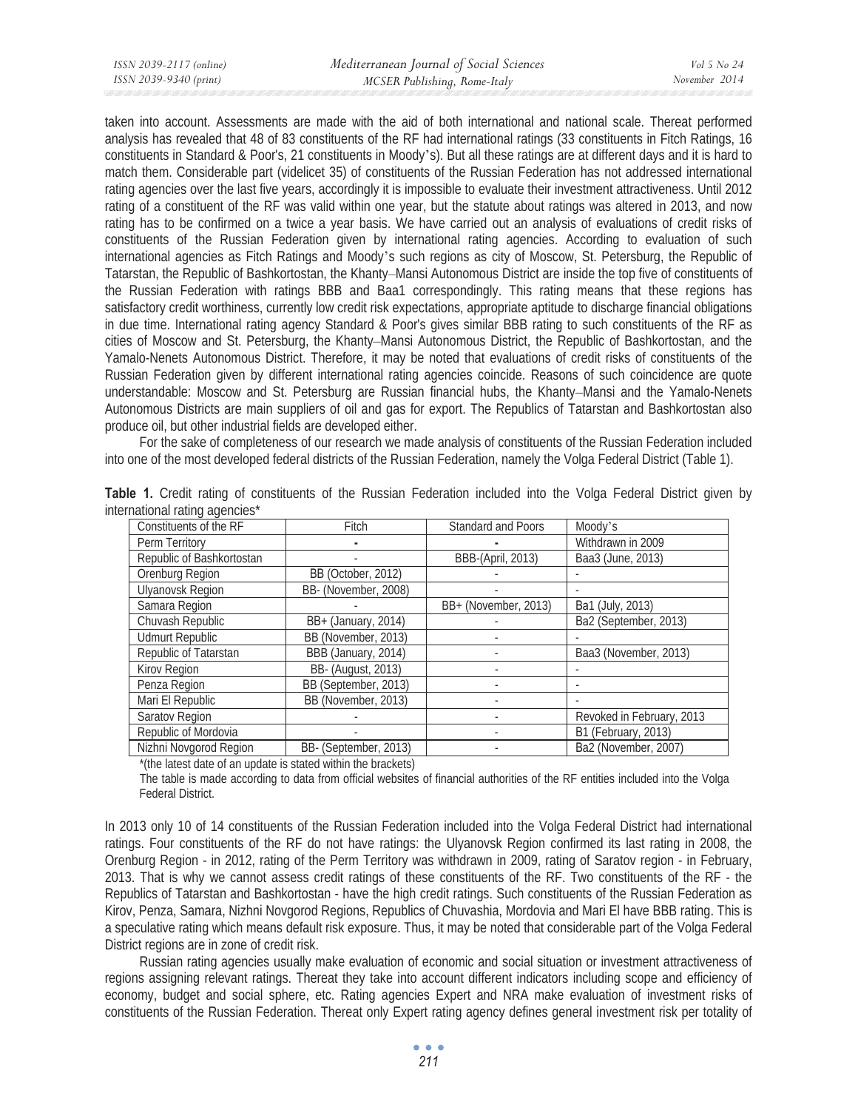taken into account. Assessments are made with the aid of both international and national scale. Thereat performed analysis has revealed that 48 of 83 constituents of the RF had international ratings (33 constituents in Fitch Ratings, 16 constituents in Standard & Poor's, 21 constituents in Moody's). But all these ratings are at different days and it is hard to match them. Considerable part (videlicet 35) of constituents of the Russian Federation has not addressed international rating agencies over the last five years, accordingly it is impossible to evaluate their investment attractiveness. Until 2012 rating of a constituent of the RF was valid within one year, but the statute about ratings was altered in 2013, and now rating has to be confirmed on a twice a year basis. We have carried out an analysis of evaluations of credit risks of constituents of the Russian Federation given by international rating agencies. According to evaluation of such international agencies as Fitch Ratings and Moody's such regions as city of Moscow, St. Petersburg, the Republic of Tatarstan, the Republic of Bashkortostan, the Khanty–Mansi Autonomous District are inside the top five of constituents of the Russian Federation with ratings BBB and Baa1 correspondingly. This rating means that these regions has satisfactory credit worthiness, currently low credit risk expectations, appropriate aptitude to discharge financial obligations in due time. International rating agency Standard & Poor's gives similar BBB rating to such constituents of the RF as cities of Moscow and St. Petersburg, the Khanty–Mansi Autonomous District, the Republic of Bashkortostan, and the Yamalo-Nenets Autonomous District. Therefore, it may be noted that evaluations of credit risks of constituents of the Russian Federation given by different international rating agencies coincide. Reasons of such coincidence are quote understandable: Moscow and St. Petersburg are Russian financial hubs, the Khanty–Mansi and the Yamalo-Nenets Autonomous Districts are main suppliers of oil and gas for export. The Republics of Tatarstan and Bashkortostan also produce oil, but other industrial fields are developed either.

For the sake of completeness of our research we made analysis of constituents of the Russian Federation included into one of the most developed federal districts of the Russian Federation, namely the Volga Federal District (Table 1).

| 3.151131131119990110100   |                       |                           |                            |
|---------------------------|-----------------------|---------------------------|----------------------------|
| Constituents of the RF    | Fitch                 | <b>Standard and Poors</b> | Moody's                    |
| Perm Territory            |                       |                           | Withdrawn in 2009          |
| Republic of Bashkortostan |                       | BBB-(April, 2013)         | Baa3 (June, 2013)          |
| Orenburg Region           | BB (October, 2012)    |                           |                            |
| <b>Ulyanovsk Region</b>   | BB- (November, 2008)  |                           |                            |
| Samara Region             |                       | BB+ (November, 2013)      | Ba1 (July, 2013)           |
| Chuvash Republic          | BB+ (January, 2014)   |                           | Ba2 (September, 2013)      |
| <b>Udmurt Republic</b>    | BB (November, 2013)   |                           |                            |
| Republic of Tatarstan     | BBB (January, 2014)   |                           | Baa3 (November, 2013)      |
| Kirov Region              | BB- (August, 2013)    |                           |                            |
| Penza Region              | BB (September, 2013)  |                           |                            |
| Mari El Republic          | BB (November, 2013)   |                           |                            |
| Saratov Region            |                       |                           | Revoked in February, 2013  |
| Republic of Mordovia      |                       |                           | <b>B1 (February, 2013)</b> |
| Nizhni Novgorod Region    | BB- (September, 2013) |                           | Ba2 (November, 2007)       |

**Table 1.** Credit rating of constituents of the Russian Federation included into the Volga Federal District given by international rating agencies\*

\*(the latest date of an update is stated within the brackets)

The table is made according to data from official websites of financial authorities of the RF entities included into the Volga Federal District.

In 2013 only 10 of 14 constituents of the Russian Federation included into the Volga Federal District had international ratings. Four constituents of the RF do not have ratings: the Ulyanovsk Region confirmed its last rating in 2008, the Orenburg Region - in 2012, rating of the Perm Territory was withdrawn in 2009, rating of Saratov region - in February, 2013. That is why we cannot assess credit ratings of these constituents of the RF. Two constituents of the RF - the Republics of Tatarstan and Bashkortostan - have the high credit ratings. Such constituents of the Russian Federation as Kirov, Penza, Samara, Nizhni Novgorod Regions, Republics of Chuvashia, Mordovia and Mari El have BBB rating. This is a speculative rating which means default risk exposure. Thus, it may be noted that considerable part of the Volga Federal District regions are in zone of credit risk.

Russian rating agencies usually make evaluation of economic and social situation or investment attractiveness of regions assigning relevant ratings. Thereat they take into account different indicators including scope and efficiency of economy, budget and social sphere, etc. Rating agencies Expert and NRA make evaluation of investment risks of constituents of the Russian Federation. Thereat only Expert rating agency defines general investment risk per totality of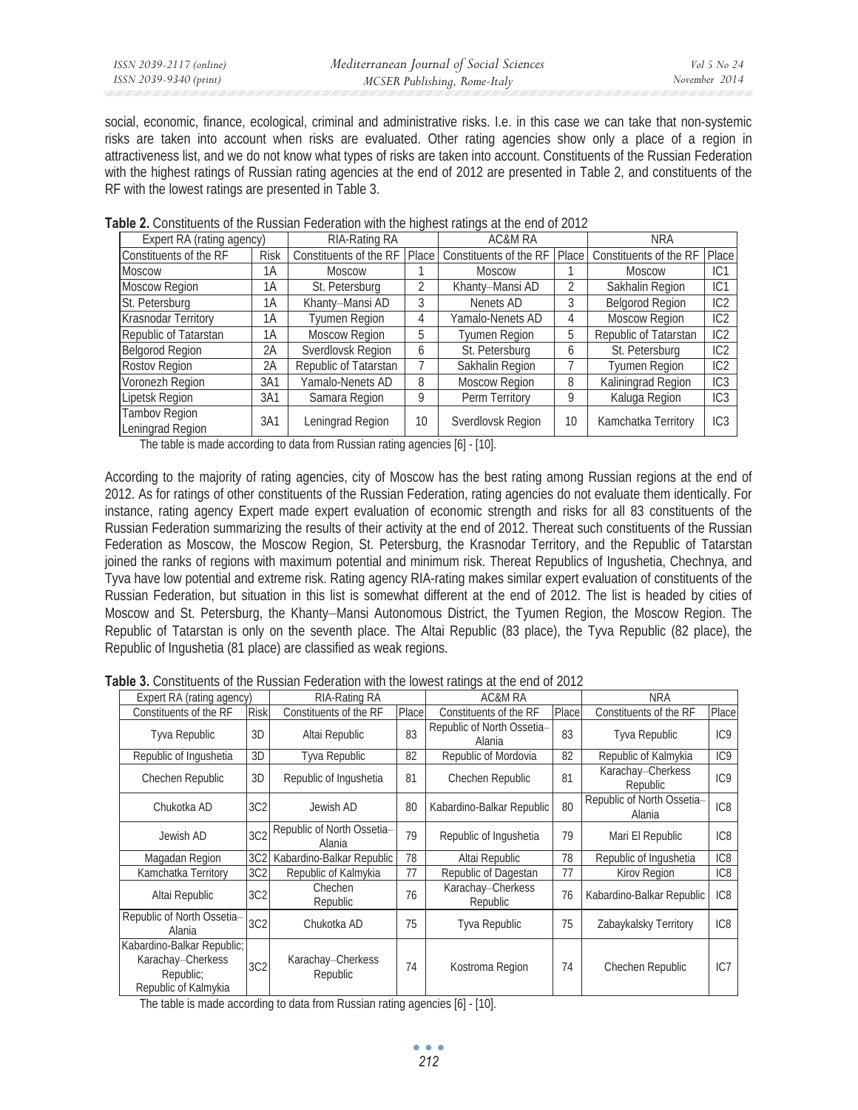social, economic, finance, ecological, criminal and administrative risks. I.e. in this case we can take that non-systemic risks are taken into account when risks are evaluated. Other rating agencies show only a place of a region in attractiveness list, and we do not know what types of risks are taken into account. Constituents of the Russian Federation with the highest ratings of Russian rating agencies at the end of 2012 are presented in Table 2, and constituents of the RF with the lowest ratings are presented in Table 3.

| Expert RA (rating agency)         |             | RIA-Rating RA          |                | AC&M RA                |                | <b>NRA</b>             |                 |
|-----------------------------------|-------------|------------------------|----------------|------------------------|----------------|------------------------|-----------------|
| Constituents of the RF            | <b>Risk</b> | Constituents of the RF | Place          | Constituents of the RF | Place          | Constituents of the RF | Place           |
| <b>Moscow</b>                     | 1Α          | <b>Moscow</b>          |                | <b>Moscow</b>          |                | <b>Moscow</b>          | IC1             |
| <b>Moscow Region</b>              | 1A          | St. Petersburg         | $\mathfrak{D}$ | Khanty-Mansi AD        | $\mathfrak{D}$ | Sakhalin Region        | IC <sub>1</sub> |
| St. Petersburg                    | 1A          | Khanty-Mansi AD        | 3              | Nenets AD              | 3              | <b>Belgorod Region</b> | IC2             |
| <b>Krasnodar Territory</b>        | 1Α          | <b>Tyumen Region</b>   | 4              | Yamalo-Nenets AD       | 4              | Moscow Region          | IC2             |
| Republic of Tatarstan             | 1A          | Moscow Region          | 5              | <b>Tyumen Region</b>   | 5              | Republic of Tatarstan  | IC <sub>2</sub> |
| Belgorod Region                   | 2A          | Sverdlovsk Region      | 6              | St. Petersburg         | 6              | St. Petersburg         | IC2             |
| Rostov Region                     | 2A          | Republic of Tatarstan  |                | Sakhalin Region        |                | <b>Tyumen Region</b>   | IC2             |
| Voronezh Region                   | 3A1         | Yamalo-Nenets AD       | 8              | Moscow Region          | 8              | Kaliningrad Region     | IC <sub>3</sub> |
| Lipetsk Region                    | 3A1         | Samara Region          | 9              | Perm Territory         | 9              | Kaluga Region          | IC3             |
| Tambov Region<br>Leningrad Region | 3A1         | Leningrad Region       | 10             | Sverdlovsk Region      | 10             | Kamchatka Territory    | IC3             |

| <b>Table 2.</b> Constituents of the Russian Federation with the highest ratings at the end of 2012 |
|----------------------------------------------------------------------------------------------------|
|----------------------------------------------------------------------------------------------------|

The table is made according to data from Russian rating agencies [6] - [10].

According to the majority of rating agencies, city of Moscow has the best rating among Russian regions at the end of 2012. As for ratings of other constituents of the Russian Federation, rating agencies do not evaluate them identically. For instance, rating agency Expert made expert evaluation of economic strength and risks for all 83 constituents of the Russian Federation summarizing the results of their activity at the end of 2012. Thereat such constituents of the Russian Federation as Moscow, the Moscow Region, St. Petersburg, the Krasnodar Territory, and the Republic of Tatarstan joined the ranks of regions with maximum potential and minimum risk. Thereat Republics of Ingushetia, Chechnya, and Tyva have low potential and extreme risk. Rating agency RIA-rating makes similar expert evaluation of constituents of the Russian Federation, but situation in this list is somewhat different at the end of 2012. The list is headed by cities of Moscow and St. Petersburg, the Khanty–Mansi Autonomous District, the Tyumen Region, the Moscow Region. The Republic of Tatarstan is only on the seventh place. The Altai Republic (83 place), the Tyva Republic (82 place), the Republic of Ingushetia (81 place) are classified as weak regions.

| Expert RA (rating agency)                                                            |             | RIA-Rating RA                        |       | AC&M RA                              |       | <b>NRA</b>                           |                 |
|--------------------------------------------------------------------------------------|-------------|--------------------------------------|-------|--------------------------------------|-------|--------------------------------------|-----------------|
| Constituents of the RF                                                               | <b>Risk</b> | Constituents of the RF               | Place | Constituents of the RF               | Place | Constituents of the RF               | Place           |
| Tyva Republic                                                                        | 3D          | Altai Republic                       | 83    | Republic of North Ossetia-<br>Alania | 83    | Tyva Republic                        | IC <sub>9</sub> |
| Republic of Ingushetia                                                               | 3D          | Tyva Republic                        | 82    | Republic of Mordovia                 | 82    | Republic of Kalmykia                 | IC <sub>9</sub> |
| Chechen Republic                                                                     | 3D          | Republic of Ingushetia               | 81    | Chechen Republic                     | 81    | Karachay-Cherkess<br>Republic        | IC <sub>9</sub> |
| Chukotka AD                                                                          | 3C2         | Jewish AD                            | 80    | Kabardino-Balkar Republic            | 80    | Republic of North Ossetia-<br>Alania | IC <sub>8</sub> |
| Jewish AD                                                                            | 3C2         | Republic of North Ossetia-<br>Alania | 79    | Republic of Ingushetia               | 79    | Mari El Republic                     | IC <sub>8</sub> |
| Magadan Region                                                                       | 3C2         | Kabardino-Balkar Republic            | 78    | Altai Republic                       | 78    | Republic of Ingushetia               | IC <sub>8</sub> |
| Kamchatka Territory                                                                  | 3C2         | Republic of Kalmykia                 | 77    | Republic of Dagestan                 | 77    | Kirov Region                         | IC <sub>8</sub> |
| Altai Republic                                                                       | 3C2         | Chechen<br>Republic                  | 76    | Karachay-Cherkess<br>Republic        | 76    | Kabardino-Balkar Republic            | IC <sub>8</sub> |
| Republic of North Ossetia-<br>Alania                                                 | 3C2         | Chukotka AD                          | 75    | Tyva Republic                        | 75    | Zabaykalsky Territory                | IC <sub>8</sub> |
| Kabardino-Balkar Republic;<br>Karachay-Cherkess<br>Republic;<br>Republic of Kalmykia | 3C2         | Karachay–Cherkess<br>Republic        | 74    | Kostroma Region                      | 74    | Chechen Republic                     | IC7             |

**Table 3.** Constituents of the Russian Federation with the lowest ratings at the end of 2012

The table is made according to data from Russian rating agencies [6] - [10].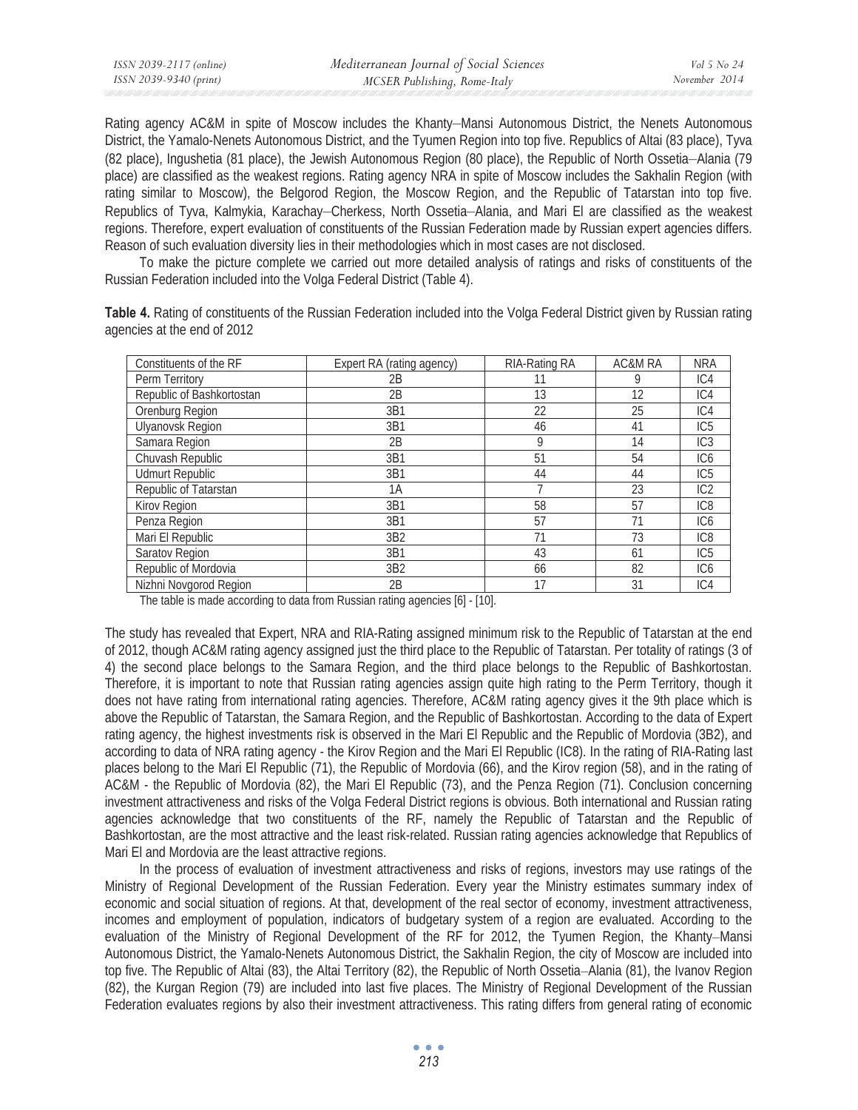Rating agency AC&M in spite of Moscow includes the Khanty–Mansi Autonomous District, the Nenets Autonomous District, the Yamalo-Nenets Autonomous District, and the Tyumen Region into top five. Republics of Altai (83 place), Tyva (82 place), Ingushetia (81 place), the Jewish Autonomous Region (80 place), the Republic of North Ossetia–Alania (79 place) are classified as the weakest regions. Rating agency NRA in spite of Moscow includes the Sakhalin Region (with rating similar to Moscow), the Belgorod Region, the Moscow Region, and the Republic of Tatarstan into top five. Republics of Tyva, Kalmykia, Karachay–Cherkess, North Ossetia–Alania, and Mari El are classified as the weakest regions. Therefore, expert evaluation of constituents of the Russian Federation made by Russian expert agencies differs. Reason of such evaluation diversity lies in their methodologies which in most cases are not disclosed.

To make the picture complete we carried out more detailed analysis of ratings and risks of constituents of the Russian Federation included into the Volga Federal District (Table 4).

**Table 4.** Rating of constituents of the Russian Federation included into the Volga Federal District given by Russian rating agencies at the end of 2012

| Constituents of the RF    | Expert RA (rating agency) | RIA-Rating RA | AC&M RA | <b>NRA</b>      |
|---------------------------|---------------------------|---------------|---------|-----------------|
| Perm Territory            | 2Β                        |               | 9       | IC4             |
| Republic of Bashkortostan | 2B                        | 13            | 12      | IC4             |
| Orenburg Region           | 3B1                       | 22            | 25      | IC4             |
| <b>Ulyanovsk Region</b>   | 3B1                       | 46            | 41      | IC5             |
| Samara Region             | 2B                        | 9             | 14      | IC3             |
| Chuvash Republic          | 3B1                       | 51            | 54      | IC <sub>6</sub> |
| <b>Udmurt Republic</b>    | 3B1                       | 44            | 44      | IC5             |
| Republic of Tatarstan     | 1A                        |               | 23      | IC2             |
| Kirov Region              | 3B1                       | 58            | 57      | IC <sub>8</sub> |
| Penza Region              | 3B1                       | 57            | 71      | IC <sub>6</sub> |
| Mari El Republic          | 3B2                       | 71            | 73      | IC <sub>8</sub> |
| Saratov Region            | 3B1                       | 43            | 61      | IC5             |
| Republic of Mordovia      | 3B2                       | 66            | 82      | IC <sub>6</sub> |
| Nizhni Novgorod Region    | 2B                        | 17            | 31      | IC4             |

The table is made according to data from Russian rating agencies [6] - [10].

The study has revealed that Expert, NRA and RIA-Rating assigned minimum risk to the Republic of Tatarstan at the end of 2012, though AC&M rating agency assigned just the third place to the Republic of Tatarstan. Per totality of ratings (3 of 4) the second place belongs to the Samara Region, and the third place belongs to the Republic of Bashkortostan. Therefore, it is important to note that Russian rating agencies assign quite high rating to the Perm Territory, though it does not have rating from international rating agencies. Therefore, AC&M rating agency gives it the 9th place which is above the Republic of Tatarstan, the Samara Region, and the Republic of Bashkortostan. According to the data of Expert rating agency, the highest investments risk is observed in the Mari El Republic and the Republic of Mordovia (3B2), and according to data of NRA rating agency - the Kirov Region and the Mari El Republic (IC8). In the rating of RIA-Rating last places belong to the Mari El Republic (71), the Republic of Mordovia (66), and the Kirov region (58), and in the rating of AC&M - the Republic of Mordovia (82), the Mari El Republic (73), and the Penza Region (71). Conclusion concerning investment attractiveness and risks of the Volga Federal District regions is obvious. Both international and Russian rating agencies acknowledge that two constituents of the RF, namely the Republic of Tatarstan and the Republic of Bashkortostan, are the most attractive and the least risk-related. Russian rating agencies acknowledge that Republics of Mari El and Mordovia are the least attractive regions.

In the process of evaluation of investment attractiveness and risks of regions, investors may use ratings of the Ministry of Regional Development of the Russian Federation. Every year the Ministry estimates summary index of economic and social situation of regions. At that, development of the real sector of economy, investment attractiveness, incomes and employment of population, indicators of budgetary system of a region are evaluated. According to the evaluation of the Ministry of Regional Development of the RF for 2012, the Tyumen Region, the Khanty–Mansi Autonomous District, the Yamalo-Nenets Autonomous District, the Sakhalin Region, the city of Moscow are included into top five. The Republic of Altai (83), the Altai Territory (82), the Republic of North Ossetia–Alania (81), the Ivanov Region (82), the Kurgan Region (79) are included into last five places. The Ministry of Regional Development of the Russian Federation evaluates regions by also their investment attractiveness. This rating differs from general rating of economic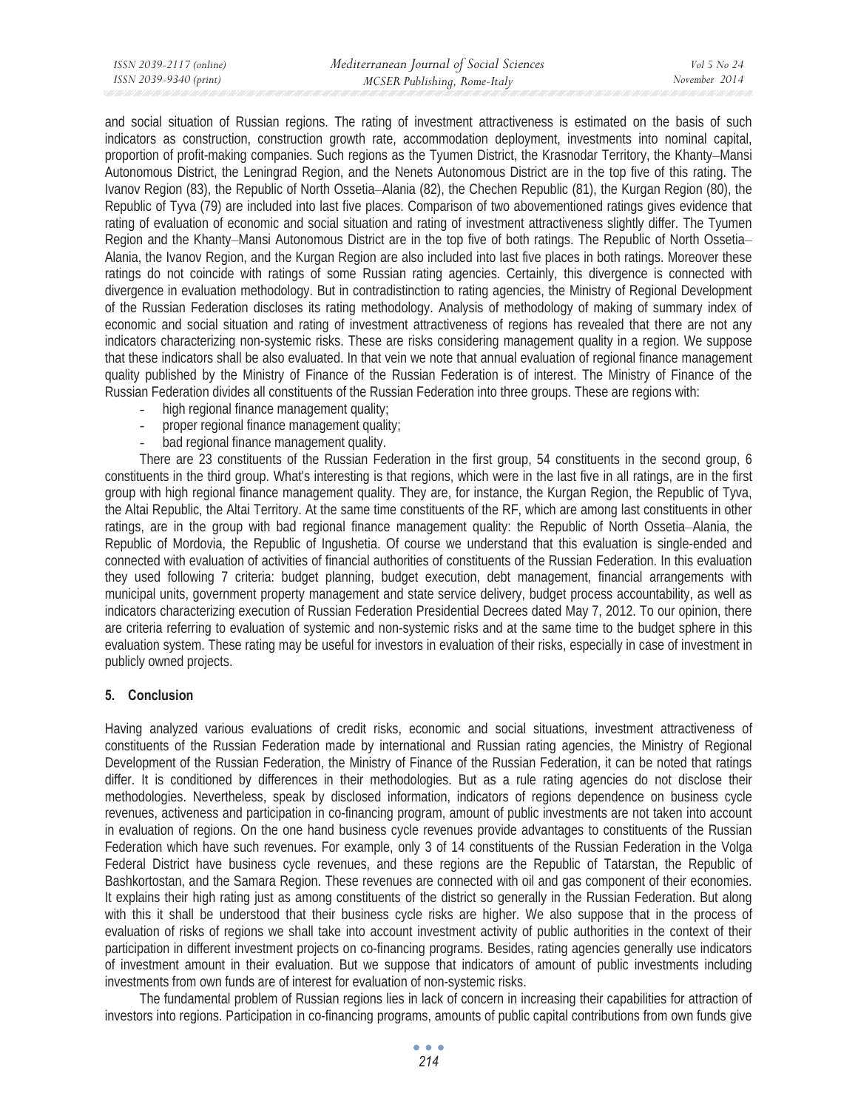| ISSN 2039-2117 (online) | Mediterranean Journal of Social Sciences | Vol 5 No 24   |
|-------------------------|------------------------------------------|---------------|
| ISSN 2039-9340 (print)  | MCSER Publishing, Rome-Italy             | November 2014 |
|                         |                                          |               |

and social situation of Russian regions. The rating of investment attractiveness is estimated on the basis of such indicators as construction, construction growth rate, accommodation deployment, investments into nominal capital, proportion of profit-making companies. Such regions as the Tyumen District, the Krasnodar Territory, the Khanty–Mansi Autonomous District, the Leningrad Region, and the Nenets Autonomous District are in the top five of this rating. The Ivanov Region (83), the Republic of North Ossetia–Alania (82), the Chechen Republic (81), the Kurgan Region (80), the Republic of Tyva (79) are included into last five places. Comparison of two abovementioned ratings gives evidence that rating of evaluation of economic and social situation and rating of investment attractiveness slightly differ. The Tyumen Region and the Khanty–Mansi Autonomous District are in the top five of both ratings. The Republic of North Ossetia– Alania, the Ivanov Region, and the Kurgan Region are also included into last five places in both ratings. Moreover these ratings do not coincide with ratings of some Russian rating agencies. Certainly, this divergence is connected with divergence in evaluation methodology. But in contradistinction to rating agencies, the Ministry of Regional Development of the Russian Federation discloses its rating methodology. Analysis of methodology of making of summary index of economic and social situation and rating of investment attractiveness of regions has revealed that there are not any indicators characterizing non-systemic risks. These are risks considering management quality in a region. We suppose that these indicators shall be also evaluated. In that vein we note that annual evaluation of regional finance management quality published by the Ministry of Finance of the Russian Federation is of interest. The Ministry of Finance of the Russian Federation divides all constituents of the Russian Federation into three groups. These are regions with:

- high regional finance management quality;
- proper regional finance management quality;
- bad regional finance management quality.

There are 23 constituents of the Russian Federation in the first group, 54 constituents in the second group, 6 constituents in the third group. What's interesting is that regions, which were in the last five in all ratings, are in the first group with high regional finance management quality. They are, for instance, the Kurgan Region, the Republic of Tyva, the Altai Republic, the Altai Territory. At the same time constituents of the RF, which are among last constituents in other ratings, are in the group with bad regional finance management quality: the Republic of North Ossetia–Alania, the Republic of Mordovia, the Republic of Ingushetia. Of course we understand that this evaluation is single-ended and connected with evaluation of activities of financial authorities of constituents of the Russian Federation. In this evaluation they used following 7 criteria: budget planning, budget execution, debt management, financial arrangements with municipal units, government property management and state service delivery, budget process accountability, as well as indicators characterizing execution of Russian Federation Presidential Decrees dated May 7, 2012. To our opinion, there are criteria referring to evaluation of systemic and non-systemic risks and at the same time to the budget sphere in this evaluation system. These rating may be useful for investors in evaluation of their risks, especially in case of investment in publicly owned projects.

#### **5. Conclusion**

Having analyzed various evaluations of credit risks, economic and social situations, investment attractiveness of constituents of the Russian Federation made by international and Russian rating agencies, the Ministry of Regional Development of the Russian Federation, the Ministry of Finance of the Russian Federation, it can be noted that ratings differ. It is conditioned by differences in their methodologies. But as a rule rating agencies do not disclose their methodologies. Nevertheless, speak by disclosed information, indicators of regions dependence on business cycle revenues, activeness and participation in co-financing program, amount of public investments are not taken into account in evaluation of regions. On the one hand business cycle revenues provide advantages to constituents of the Russian Federation which have such revenues. For example, only 3 of 14 constituents of the Russian Federation in the Volga Federal District have business cycle revenues, and these regions are the Republic of Tatarstan, the Republic of Bashkortostan, and the Samara Region. These revenues are connected with oil and gas component of their economies. It explains their high rating just as among constituents of the district so generally in the Russian Federation. But along with this it shall be understood that their business cycle risks are higher. We also suppose that in the process of evaluation of risks of regions we shall take into account investment activity of public authorities in the context of their participation in different investment projects on co-financing programs. Besides, rating agencies generally use indicators of investment amount in their evaluation. But we suppose that indicators of amount of public investments including investments from own funds are of interest for evaluation of non-systemic risks.

The fundamental problem of Russian regions lies in lack of concern in increasing their capabilities for attraction of investors into regions. Participation in co-financing programs, amounts of public capital contributions from own funds give